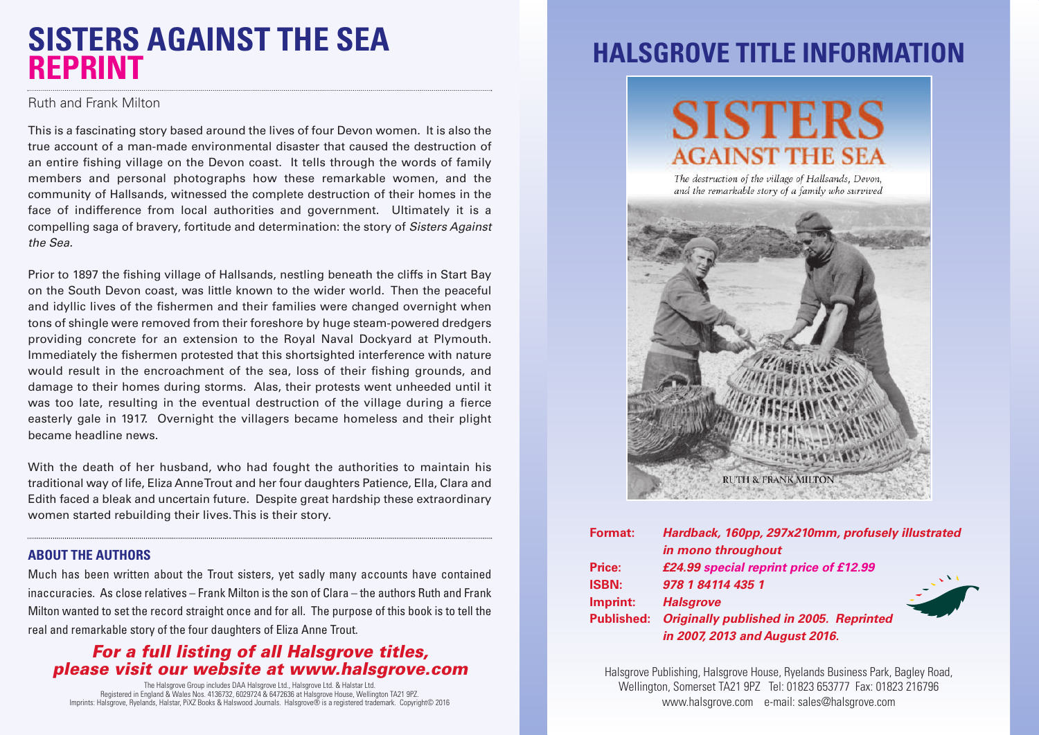### **SISTERS AGAINST THE SEA REPRINT**

Ruth and Frank Milton

This is a fascinating story based around the lives of four Devon women. It is also the true account of a man-made environmental disaster that caused the destruction of an entire fishing village on the Devon coast. It tells through the words of family members and personal photographs how these remarkable women, and the community of Hallsands, witnessed the complete destruction of their homes in the face of indifference from local authorities and government. Ultimately it is a compelling saga of bravery, fortitude and determination: the story of *Sisters Against the Sea.*

Prior to 1897 the fishing village of Hallsands, nestling beneath the cliffs in Start Bay on the South Devon coast, was little known to the wider world. Then the peaceful and idyllic lives of the fishermen and their families were changed overnight when tons of shingle were removed from their foreshore by huge steam-powered dredgers providing concrete for an extension to the Royal Naval Dockyard at Plymouth. Immediately the fishermen protested that this shortsighted interference with nature would result in the encroachment of the sea, loss of their fishing grounds, and damage to their homes during storms. Alas, their protests went unheeded until it was too late, resulting in the eventual destruction of the village during a fierce easterly gale in 1917. Overnight the villagers became homeless and their plight became headline news.

With the death of her husband, who had fought the authorities to maintain his traditional way of life, Eliza AnneTrout and her four daughters Patience, Ella, Clara and Edith faced a bleak and uncertain future. Despite great hardship these extraordinary women started rebuilding their lives.This is their story.

#### **ABOUT THE AUTHORS**

Much has been written about the Trout sisters, yet sadly many accounts have contained inaccuracies. As close relatives – Frank Milton is the son of Clara – the authors Ruth and Frank Milton wanted to set the record straight once and for all. The purpose of this book is to tell the real and remarkable story of the four daughters of Eliza Anne Trout.

#### *For a full listing of all Halsgrove titles, please visit our website at www.halsgrove.com*

The Halsgrove Group includes DAA Halsgrove Ltd., Halsgrove Ltd. & Halstar Ltd. Registered in England & Wales Nos. 4136732, 6029724 & 6472636 at Halsgrove House, Wellington TA21 9PZ. Imprints: Halsgrove, Ryelands, Halstar, PiXZ Books & Halswood Journals. Halsgrove® is a registered trademark. Copyright© 2016

### **HALSGROVE TITLE INFORMATION**

# **SISTERS AGAINST THE SEA**

The destruction of the village of Hallsands, Devon. and the remarkable story of a family who survived



| <b>Format:</b>    | Hardback, 160pp, 297x210mm, profusely illustrated |
|-------------------|---------------------------------------------------|
|                   | in mono throughout                                |
| Price:            | £24.99 special reprint price of £12.99            |
| <b>ISBN:</b>      | 978 1 84114 435 1                                 |
| Imprint:          | <b>Halsgrove</b>                                  |
| <b>Published:</b> | <b>Originally published in 2005. Reprinted</b>    |
|                   | in 2007, 2013 and August 2016.                    |

Halsgrove Publishing, Halsgrove House, Ryelands Business Park, Bagley Road, Wellington, Somerset TA21 9PZ Tel: 01823 653777 Fax: 01823 216796 www.halsgrove.com e-mail: sales@halsgrove.com